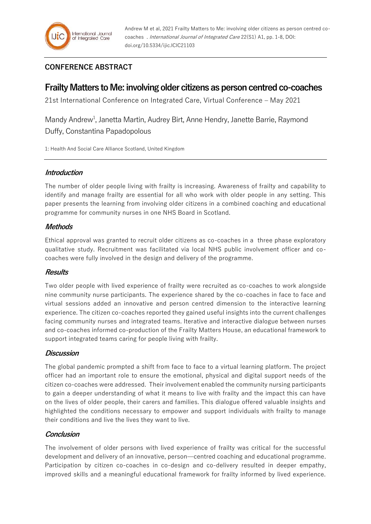## **CONFERENCE ABSTRACT**

# **Frailty Matters to Me: involving older citizens as person centred co-coaches**

21st International Conference on Integrated Care, Virtual Conference – May 2021

Mandy Andrew<sup>1</sup>, Janetta Martin, Audrey Birt, Anne Hendry, Janette Barrie, Raymond Duffy, Constantina Papadopolous

1: Health And Social Care Alliance Scotland, United Kingdom

#### **Introduction**

The number of older people living with frailty is increasing. Awareness of frailty and capability to identify and manage frailty are essential for all who work with older people in any setting. This paper presents the learning from involving older citizens in a combined coaching and educational programme for community nurses in one NHS Board in Scotland.

#### **Methods**

Ethical approval was granted to recruit older citizens as co-coaches in a three phase exploratory qualitative study. Recruitment was facilitated via local NHS public involvement officer and cocoaches were fully involved in the design and delivery of the programme.

## **Results**

Two older people with lived experience of frailty were recruited as co-coaches to work alongside nine community nurse participants. The experience shared by the co-coaches in face to face and virtual sessions added an innovative and person centred dimension to the interactive learning experience. The citizen co-coaches reported they gained useful insights into the current challenges facing community nurses and integrated teams. Iterative and interactive dialogue between nurses and co-coaches informed co-production of the Frailty Matters House, an educational framework to support integrated teams caring for people living with frailty.

## **Discussion**

The global pandemic prompted a shift from face to face to a virtual learning platform. The project officer had an important role to ensure the emotional, physical and digital support needs of the citizen co-coaches were addressed. Their involvement enabled the community nursing participants to gain a deeper understanding of what it means to live with frailty and the impact this can have on the lives of older people, their carers and families. This dialogue offered valuable insights and highlighted the conditions necessary to empower and support individuals with frailty to manage their conditions and live the lives they want to live.

## **Conclusion**

The involvement of older persons with lived experience of frailty was critical for the successful development and delivery of an innovative, person—centred coaching and educational programme. Participation by citizen co-coaches in co-design and co-delivery resulted in deeper empathy, improved skills and a meaningful educational framework for frailty informed by lived experience.